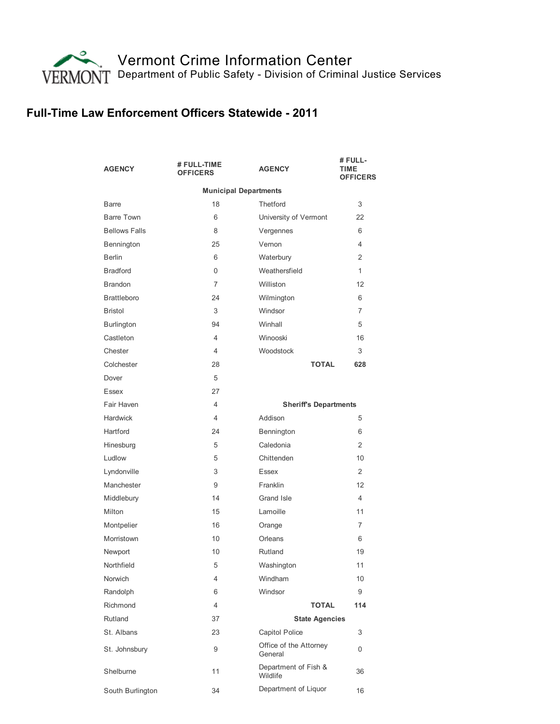

## Full-Time Law Enforcement Officers Statewide - 2011

| <b>AGENCY</b>                | # FULL-TIME<br><b>OFFICERS</b> | <b>AGENCY</b>                     | # FULL-<br>TIME<br><b>OFFICERS</b> |  |
|------------------------------|--------------------------------|-----------------------------------|------------------------------------|--|
| <b>Municipal Departments</b> |                                |                                   |                                    |  |
| <b>Barre</b>                 | 18                             | Thetford                          | 3                                  |  |
| <b>Barre Town</b>            | 6                              | University of Vermont             | 22                                 |  |
| <b>Bellows Falls</b>         | 8                              | Vergennes                         | 6                                  |  |
| Bennington                   | 25                             | Vernon                            | $\overline{4}$                     |  |
| <b>Berlin</b>                | 6                              | Waterbury                         | 2                                  |  |
| <b>Bradford</b>              | 0                              | Weathersfield                     | 1                                  |  |
| <b>Brandon</b>               | 7                              | Williston                         | 12                                 |  |
| <b>Brattleboro</b>           | 24                             | Wilmington                        | 6                                  |  |
| Bristol                      | 3                              | Windsor                           | $\overline{7}$                     |  |
| <b>Burlington</b>            | 94                             | Winhall                           | 5                                  |  |
| Castleton                    | $\overline{4}$                 | Winooski                          | 16                                 |  |
| Chester                      | $\overline{4}$                 | Woodstock                         | 3                                  |  |
| Colchester                   | 28                             | <b>TOTAL</b>                      | 628                                |  |
| Dover                        | 5                              |                                   |                                    |  |
| Essex                        | 27                             |                                   |                                    |  |
| Fair Haven                   | 4                              | <b>Sheriff's Departments</b>      |                                    |  |
| Hardwick                     | 4                              | Addison                           | 5                                  |  |
| Hartford                     | 24                             | Bennington                        | 6                                  |  |
| Hinesburg                    | 5                              | Caledonia                         | 2                                  |  |
| Ludlow                       | 5                              | Chittenden                        | 10                                 |  |
| Lyndonville                  | 3                              | Essex                             | 2                                  |  |
| Manchester                   | 9                              | Franklin                          | 12                                 |  |
| Middlebury                   | 14                             | Grand Isle                        | 4                                  |  |
| Milton                       | 15                             | Lamoille                          | 11                                 |  |
| Montpelier                   | 16                             | Orange                            | $\overline{7}$                     |  |
| Morristown                   | 10                             | Orleans                           | 6                                  |  |
| Newport                      | 10                             | Rutland                           | 19                                 |  |
| Northfield                   | 5                              | Washington                        | 11                                 |  |
| Norwich                      | 4                              | Windham                           | 10                                 |  |
| Randolph                     | 6                              | Windsor                           | 9                                  |  |
| Richmond                     | $\overline{4}$                 | <b>TOTAL</b>                      | 114                                |  |
| Rutland                      | 37                             | <b>State Agencies</b>             |                                    |  |
| St. Albans                   | 23                             | Capitol Police                    | 3                                  |  |
| St. Johnsbury                | 9                              | Office of the Attorney<br>General | 0                                  |  |
| Shelburne                    | 11                             | Department of Fish &<br>Wildlife  | 36                                 |  |
| South Burlington             | 34                             | Department of Liquor              | 16                                 |  |